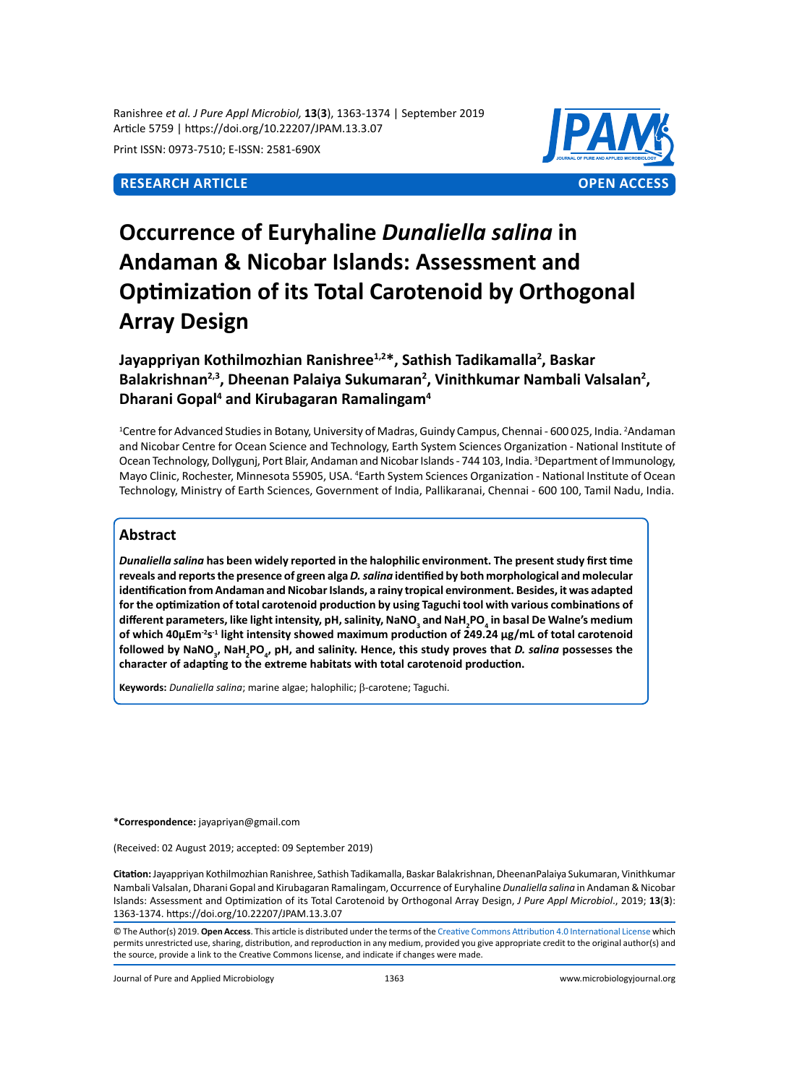Ranishree *et al. J Pure Appl Microbiol,* **13**(**3**), 1363-1374 | September 2019 Article 5759 | https://doi.org/10.22207/JPAM.13.3.07

Print ISSN: 0973-7510; E-ISSN: 2581-690X



# **Occurrence of Euryhaline** *Dunaliella salina* **in Andaman & Nicobar Islands: Assessment and Optimization of its Total Carotenoid by Orthogonal Array Design**

# **Jayappriyan Kothilmozhian Ranishree1,2\*, Sathish Tadikamalla2 , Baskar**  Balakrishnan<sup>2,3</sup>, Dheenan Palaiya Sukumaran<sup>2</sup>, Vinithkumar Nambali Valsalan<sup>2</sup>, **Dharani Gopal4 and Kirubagaran Ramalingam<sup>4</sup>**

<sup>1</sup>Centre for Advanced Studies in Botany, University of Madras, Guindy Campus, Chennai - 600 025, India. <sup>2</sup>Andaman and Nicobar Centre for Ocean Science and Technology, Earth System Sciences Organization - National Institute of Ocean Technology, Dollygunj, Port Blair, Andaman and Nicobar Islands - 744 103, India. <sup>3</sup>Department of Immunology, Mayo Clinic, Rochester, Minnesota 55905, USA. <sup>4</sup>Earth System Sciences Organization - National Institute of Ocean Technology, Ministry of Earth Sciences, Government of India, Pallikaranai, Chennai - 600 100, Tamil Nadu, India.

## **Abstract**

*Dunaliella salina* **has been widely reported in the halophilic environment. The present study first time reveals and reports the presence of green alga** *D. salina* **identified by both morphological and molecular identification from Andaman and Nicobar Islands, a rainy tropical environment. Besides, it was adapted for the optimization of total carotenoid production by using Taguchi tool with various combinations of different parameters, like light intensity, pH, salinity, NaNO<sup>3</sup> and NaH2 PO4 in basal De Walne's medium of which 40µEm-2s-1 light intensity showed maximum production of 249.24 µg/mL of total carotenoid**  followed by NaNO<sub>3</sub>, NaH<sub>2</sub>PO<sub>4</sub>, pH, and salinity. Hence, this study proves that *D. salina* possesses the **character of adapting to the extreme habitats with total carotenoid production.**

**Keywords:** *Dunaliella salina*; marine algae; halophilic; β-carotene; Taguchi.

**\*Correspondence:** jayapriyan@gmail.com

(Received: 02 August 2019; accepted: 09 September 2019)

**Citation:** Jayappriyan Kothilmozhian Ranishree, Sathish Tadikamalla, Baskar Balakrishnan, DheenanPalaiya Sukumaran, Vinithkumar Nambali Valsalan, Dharani Gopal and Kirubagaran Ramalingam, Occurrence of Euryhaline *Dunaliella salina* in Andaman & Nicobar Islands: Assessment and Optimization of its Total Carotenoid by Orthogonal Array Design, *J Pure Appl Microbiol*., 2019; **13**(**3**): 1363-1374. https://doi.org/10.22207/JPAM.13.3.07

© The Author(s) 2019. **Open Access**. This article is distributed under the terms of the [Creative Commons Attribution 4.0 International License](https://creativecommons.org/licenses/by/4.0/) which permits unrestricted use, sharing, distribution, and reproduction in any medium, provided you give appropriate credit to the original author(s) and the source, provide a link to the Creative Commons license, and indicate if changes were made.

Journal of Pure and Applied Microbiology 1363 www.microbiologyjournal.org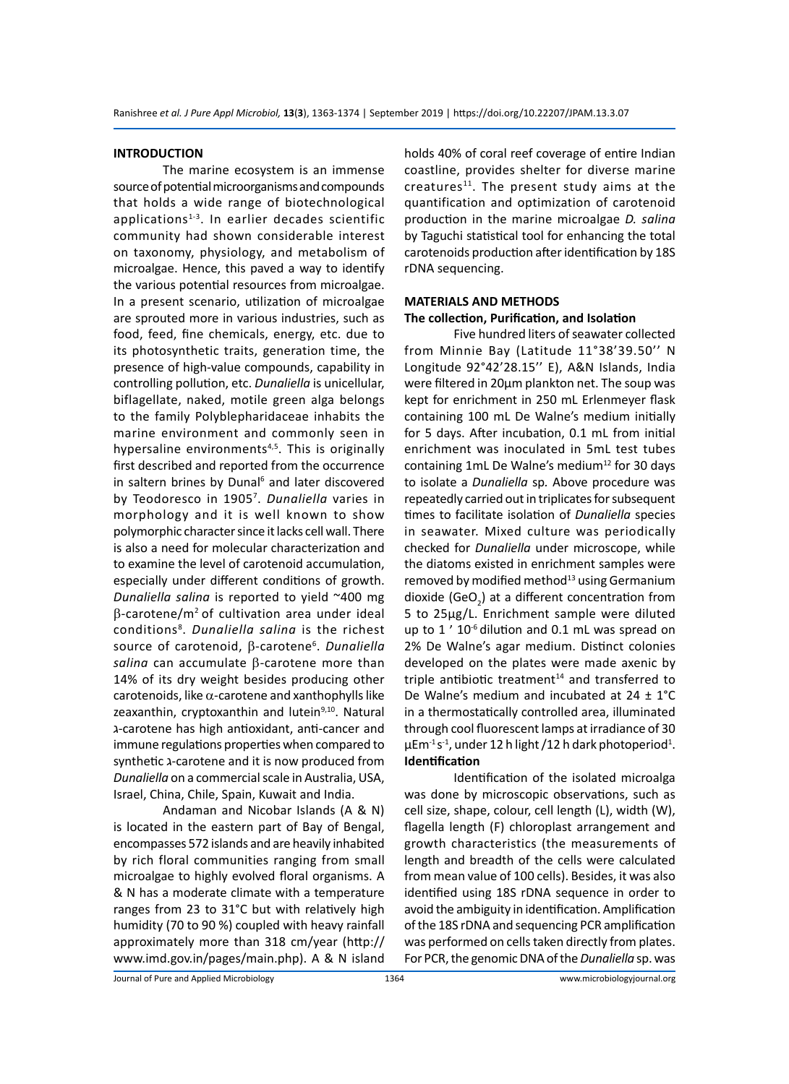#### **INTRODUCTION**

The marine ecosystem is an immense source of potential microorganisms and compounds that holds a wide range of biotechnological applications<sup>1-3</sup>. In earlier decades scientific community had shown considerable interest on taxonomy, physiology, and metabolism of microalgae. Hence, this paved a way to identify the various potential resources from microalgae. In a present scenario, utilization of microalgae are sprouted more in various industries, such as food, feed, fine chemicals, energy, etc. due to its photosynthetic traits, generation time, the presence of high-value compounds, capability in controlling pollution, etc. *Dunaliella* is unicellular, biflagellate, naked, motile green alga belongs to the family Polyblepharidaceae inhabits the marine environment and commonly seen in hypersaline environments<sup>4,5</sup>. This is originally first described and reported from the occurrence in saltern brines by Dunal<sup>6</sup> and later discovered by Teodoresco in 1905<sup>7</sup> . *Dunaliella* varies in morphology and it is well known to show polymorphic character since it lacks cell wall. There is also a need for molecular characterization and to examine the level of carotenoid accumulation, especially under different conditions of growth. *Dunaliella salina* is reported to yield ~400 mg β-carotene/m2 of cultivation area under ideal conditions<sup>8</sup> . *Dunaliella salina* is the richest source of carotenoid, β-carotene<sup>6</sup>. Dunaliella *salina* can accumulate β-carotene more than 14% of its dry weight besides producing other carotenoids, like  $\alpha$ -carotene and xanthophylls like zeaxanthin, cryptoxanthin and lutein<sup>9,10</sup>. Natural ג-carotene has high antioxidant, anti-cancer and immune regulations properties when compared to synthetic ג-carotene and it is now produced from *Dunaliella* on a commercial scale in Australia, USA, Israel, China, Chile, Spain, Kuwait and India.

Andaman and Nicobar Islands (A & N) is located in the eastern part of Bay of Bengal, encompasses 572 islands and are heavily inhabited by rich floral communities ranging from small microalgae to highly evolved floral organisms. A & N has a moderate climate with a temperature ranges from 23 to 31°C but with relatively high humidity (70 to 90 %) coupled with heavy rainfall approximately more than 318 cm/year (http:// www.imd.gov.in/pages/main.php). A & N island holds 40% of coral reef coverage of entire Indian coastline, provides shelter for diverse marine  $c$ reatures $11$ . The present study aims at the quantification and optimization of carotenoid production in the marine microalgae *D. salina*  by Taguchi statistical tool for enhancing the total carotenoids production after identification by 18S rDNA sequencing.

### **MATERIALS AND METHODS The collection, Purification, and Isolation**

Five hundred liters of seawater collected from Minnie Bay (Latitude 11°38'39.50'' N Longitude 92°42'28.15'' E), A&N Islands, India were filtered in 20µm plankton net. The soup was kept for enrichment in 250 mL Erlenmeyer flask containing 100 mL De Walne's medium initially for 5 days. After incubation, 0.1 mL from initial enrichment was inoculated in 5mL test tubes containing 1mL De Walne's medium $12$  for 30 days to isolate a *Dunaliella* sp*.* Above procedure was repeatedly carried out in triplicates for subsequent times to facilitate isolation of *Dunaliella* species in seawater. Mixed culture was periodically checked for *Dunaliella* under microscope, while the diatoms existed in enrichment samples were removed by modified method<sup>13</sup> using Germanium dioxide (GeO<sub>2</sub>) at a different concentration from 5 to 25µg/L. Enrichment sample were diluted up to 1 ' 10<sup>-6</sup> dilution and 0.1 mL was spread on 2% De Walne's agar medium. Distinct colonies developed on the plates were made axenic by triple antibiotic treatment $14$  and transferred to De Walne's medium and incubated at  $24 \pm 1^{\circ}$ C in a thermostatically controlled area, illuminated through cool fluorescent lamps at irradiance of 30  $\mu$ Em<sup>-1</sup>s<sup>-1</sup>, under 12 h light /12 h dark photoperiod<sup>1</sup>. **Identification**

Identification of the isolated microalga was done by microscopic observations, such as cell size, shape, colour, cell length (L), width (W), flagella length (F) chloroplast arrangement and growth characteristics (the measurements of length and breadth of the cells were calculated from mean value of 100 cells). Besides, it was also identified using 18S rDNA sequence in order to avoid the ambiguity in identification. Amplification of the 18S rDNA and sequencing PCR amplification was performed on cells taken directly from plates. For PCR, the genomic DNA of the *Dunaliella* sp. was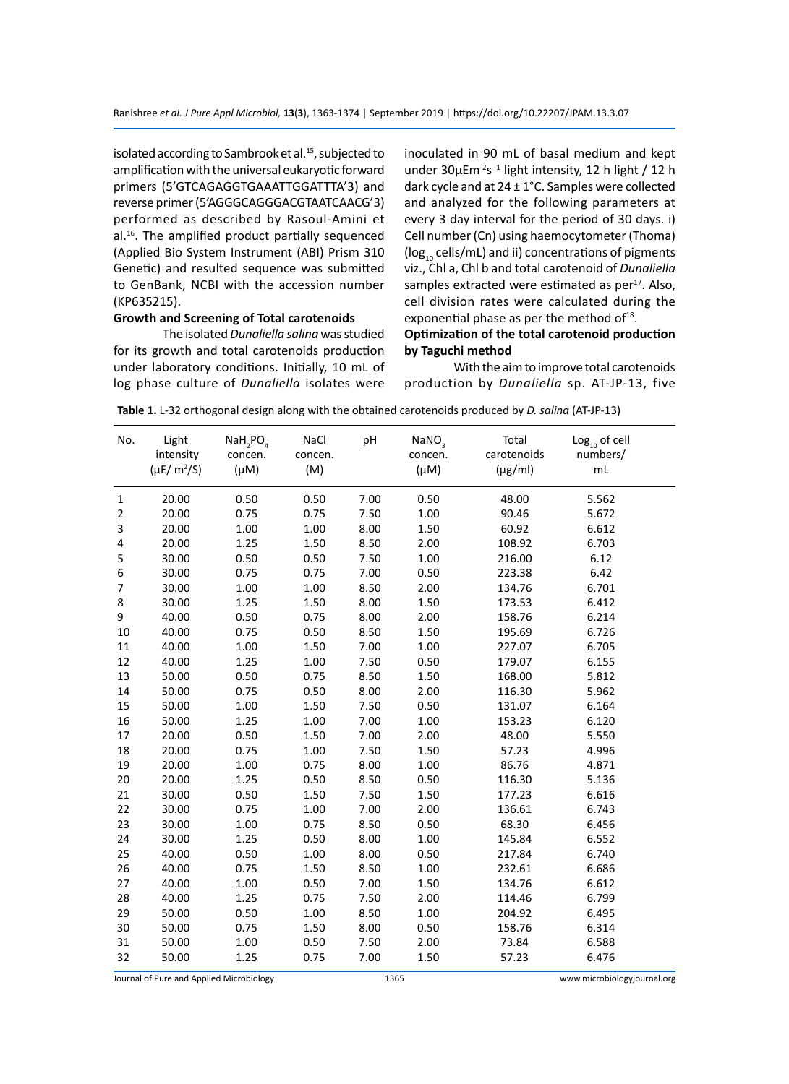isolated according to Sambrook et al.<sup>15</sup>, subjected to amplification with the universal eukaryotic forward primers (5'GTCAGAGGTGAAATTGGATTTA'3) and reverse primer (5'AGGGCAGGGACGTAATCAACG'3) performed as described by Rasoul-Amini et al.16. The amplified product partially sequenced (Applied Bio System Instrument (ABI) Prism 310 Genetic) and resulted sequence was submitted to GenBank, NCBI with the accession number (KP635215).

#### **Growth and Screening of Total carotenoids**

The isolated *Dunaliella salina* was studied for its growth and total carotenoids production under laboratory conditions. Initially, 10 mL of log phase culture of *Dunaliella* isolates were inoculated in 90 mL of basal medium and kept under 30µEm<sup>-2</sup>s<sup>-1</sup> light intensity, 12 h light / 12 h dark cycle and at 24 ± 1°C. Samples were collected and analyzed for the following parameters at every 3 day interval for the period of 30 days. i) Cell number (Cn) using haemocytometer (Thoma) ( $log_{10}$  cells/mL) and ii) concentrations of pigments viz., Chl a, Chl b and total carotenoid of *Dunaliella* samples extracted were estimated as  $per<sup>17</sup>$ . Also, cell division rates were calculated during the exponential phase as per the method of $18$ .

#### **Optimization of the total carotenoid production by Taguchi method**

With the aim to improve total carotenoids production by *Dunaliella* sp. AT-JP-13, five

| No.          | Light<br>intensity<br>$(\mu E/m^2/S)$ | $NaH_2PO_4$<br>concen.<br>$(\mu M)$ | NaCl<br>concen.<br>(M) | pH   | $\textsf{NaNO}_3$<br>concen.<br>$(\mu M)$ | Total<br>carotenoids<br>$(\mu g/ml)$ | $\textsf{Log}_{\scriptscriptstyle{10}}$ of cell<br>numbers/<br>$\mathsf{m}\mathsf{L}$ |
|--------------|---------------------------------------|-------------------------------------|------------------------|------|-------------------------------------------|--------------------------------------|---------------------------------------------------------------------------------------|
| $\mathbf{1}$ | 20.00                                 | 0.50                                | 0.50                   | 7.00 | 0.50                                      | 48.00                                | 5.562                                                                                 |
| 2            | 20.00                                 | 0.75                                | 0.75                   | 7.50 | 1.00                                      | 90.46                                | 5.672                                                                                 |
| 3            | 20.00                                 | 1.00                                | 1.00                   | 8.00 | 1.50                                      | 60.92                                | 6.612                                                                                 |
| 4            | 20.00                                 | 1.25                                | 1.50                   | 8.50 | 2.00                                      | 108.92                               | 6.703                                                                                 |
| 5            | 30.00                                 | 0.50                                | 0.50                   | 7.50 | 1.00                                      | 216.00                               | 6.12                                                                                  |
| 6            | 30.00                                 | 0.75                                | 0.75                   | 7.00 | 0.50                                      | 223.38                               | 6.42                                                                                  |
| 7            | 30.00                                 | 1.00                                | 1.00                   | 8.50 | 2.00                                      | 134.76                               | 6.701                                                                                 |
| 8            | 30.00                                 | 1.25                                | 1.50                   | 8.00 | 1.50                                      | 173.53                               | 6.412                                                                                 |
| 9            | 40.00                                 | 0.50                                | 0.75                   | 8.00 | 2.00                                      | 158.76                               | 6.214                                                                                 |
| 10           | 40.00                                 | 0.75                                | 0.50                   | 8.50 | 1.50                                      | 195.69                               | 6.726                                                                                 |
| $11\,$       | 40.00                                 | 1.00                                | 1.50                   | 7.00 | 1.00                                      | 227.07                               | 6.705                                                                                 |
| 12           | 40.00                                 | 1.25                                | 1.00                   | 7.50 | 0.50                                      | 179.07                               | 6.155                                                                                 |
| 13           | 50.00                                 | 0.50                                | 0.75                   | 8.50 | 1.50                                      | 168.00                               | 5.812                                                                                 |
| 14           | 50.00                                 | 0.75                                | 0.50                   | 8.00 | 2.00                                      | 116.30                               | 5.962                                                                                 |
| 15           | 50.00                                 | 1.00                                | 1.50                   | 7.50 | 0.50                                      | 131.07                               | 6.164                                                                                 |
| 16           | 50.00                                 | 1.25                                | 1.00                   | 7.00 | 1.00                                      | 153.23                               | 6.120                                                                                 |
| 17           | 20.00                                 | 0.50                                | 1.50                   | 7.00 | 2.00                                      | 48.00                                | 5.550                                                                                 |
| 18           | 20.00                                 | 0.75                                | 1.00                   | 7.50 | 1.50                                      | 57.23                                | 4.996                                                                                 |
| 19           | 20.00                                 | 1.00                                | 0.75                   | 8.00 | 1.00                                      | 86.76                                | 4.871                                                                                 |
| 20           | 20.00                                 | 1.25                                | 0.50                   | 8.50 | 0.50                                      | 116.30                               | 5.136                                                                                 |
| 21           | 30.00                                 | 0.50                                | 1.50                   | 7.50 | 1.50                                      | 177.23                               | 6.616                                                                                 |
| 22           | 30.00                                 | 0.75                                | 1.00                   | 7.00 | 2.00                                      | 136.61                               | 6.743                                                                                 |
| 23           | 30.00                                 | 1.00                                | 0.75                   | 8.50 | 0.50                                      | 68.30                                | 6.456                                                                                 |
| 24           | 30.00                                 | 1.25                                | 0.50                   | 8.00 | 1.00                                      | 145.84                               | 6.552                                                                                 |
| 25           | 40.00                                 | 0.50                                | 1.00                   | 8.00 | 0.50                                      | 217.84                               | 6.740                                                                                 |
| 26           | 40.00                                 | 0.75                                | 1.50                   | 8.50 | 1.00                                      | 232.61                               | 6.686                                                                                 |
| 27           | 40.00                                 | 1.00                                | 0.50                   | 7.00 | 1.50                                      | 134.76                               | 6.612                                                                                 |
| 28           | 40.00                                 | 1.25                                | 0.75                   | 7.50 | 2.00                                      | 114.46                               | 6.799                                                                                 |
| 29           | 50.00                                 | 0.50                                | 1.00                   | 8.50 | 1.00                                      | 204.92                               | 6.495                                                                                 |
| 30           | 50.00                                 | 0.75                                | 1.50                   | 8.00 | 0.50                                      | 158.76                               | 6.314                                                                                 |
| 31           | 50.00                                 | 1.00                                | 0.50                   | 7.50 | 2.00                                      | 73.84                                | 6.588                                                                                 |
| 32           | 50.00                                 | 1.25                                | 0.75                   | 7.00 | 1.50                                      | 57.23                                | 6.476                                                                                 |

**Table 1.** L-32 orthogonal design along with the obtained carotenoids produced by *D. salina* (AT-JP-13)

Journal of Pure and Applied Microbiology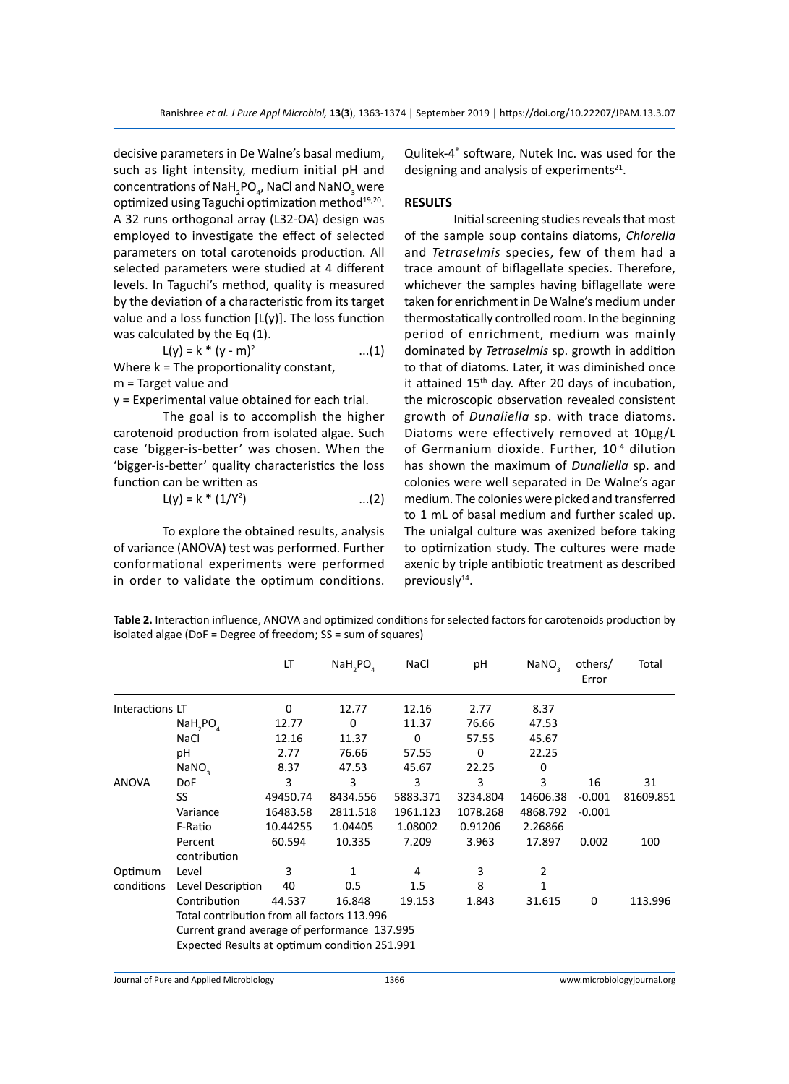decisive parameters in De Walne's basal medium, such as light intensity, medium initial pH and concentrations of NaH<sub>2</sub>PO<sub>4</sub>, NaCl and NaNO<sub>3</sub> were optimized using Taguchi optimization method<sup>19,20</sup>. A 32 runs orthogonal array (L32-OA) design was employed to investigate the effect of selected parameters on total carotenoids production. All selected parameters were studied at 4 different levels. In Taguchi's method, quality is measured by the deviation of a characteristic from its target value and a loss function  $[L(y)]$ . The loss function was calculated by the Eq (1).

$$
L(y) = k * (y - m)^2
$$
...(1)

Where k = The proportionality constant, m = Target value and

y = Experimental value obtained for each trial.

The goal is to accomplish the higher carotenoid production from isolated algae. Such case 'bigger-is-better' was chosen. When the 'bigger-is-better' quality characteristics the loss function can be written as

$$
L(y) = k * (1/Y^2) \qquad ...(2)
$$

To explore the obtained results, analysis of variance (ANOVA) test was performed. Further conformational experiments were performed in order to validate the optimum conditions.

Qulitek-4® software, Nutek Inc. was used for the designing and analysis of experiments $21$ .

#### **RESULTS**

Initial screening studies reveals that most of the sample soup contains diatoms, *Chlorella* and *Tetraselmis* species, few of them had a trace amount of biflagellate species. Therefore, whichever the samples having biflagellate were taken for enrichment in De Walne's medium under thermostatically controlled room. In the beginning period of enrichment, medium was mainly dominated by *Tetraselmis* sp. growth in addition to that of diatoms. Later, it was diminished once it attained 15<sup>th</sup> day. After 20 days of incubation, the microscopic observation revealed consistent growth of *Dunaliella* sp. with trace diatoms. Diatoms were effectively removed at 10µg/L of Germanium dioxide. Further, 10-4 dilution has shown the maximum of *Dunaliella* sp. and colonies were well separated in De Walne's agar medium. The colonies were picked and transferred to 1 mL of basal medium and further scaled up. The unialgal culture was axenized before taking to optimization study. The cultures were made axenic by triple antibiotic treatment as described previously<sup>14</sup>.

**Table 2.** Interaction influence, ANOVA and optimized conditions for selected factors for carotenoids production by isolated algae (DoF = Degree of freedom; SS = sum of squares)

|                 |                                                                                                                                                                                                                               | LT       | NAH, PO  | NaCl     | pH       | NaNO,    | others/<br>Error | Total     |  |  |  |
|-----------------|-------------------------------------------------------------------------------------------------------------------------------------------------------------------------------------------------------------------------------|----------|----------|----------|----------|----------|------------------|-----------|--|--|--|
| Interactions LT |                                                                                                                                                                                                                               | 0        | 12.77    | 12.16    | 2.77     | 8.37     |                  |           |  |  |  |
|                 | NAH, PO                                                                                                                                                                                                                       | 12.77    | $\Omega$ | 11.37    | 76.66    | 47.53    |                  |           |  |  |  |
|                 | NaCl                                                                                                                                                                                                                          | 12.16    | 11.37    | $\Omega$ | 57.55    | 45.67    |                  |           |  |  |  |
|                 | pH                                                                                                                                                                                                                            | 2.77     | 76.66    | 57.55    | $\Omega$ | 22.25    |                  |           |  |  |  |
|                 | NANO <sub>3</sub>                                                                                                                                                                                                             | 8.37     | 47.53    | 45.67    | 22.25    | 0        |                  |           |  |  |  |
| <b>ANOVA</b>    | <b>DoF</b>                                                                                                                                                                                                                    | 3        | 3        | 3        | 3        | 3        | 16               | 31        |  |  |  |
|                 | <b>SS</b>                                                                                                                                                                                                                     | 49450.74 | 8434.556 | 5883.371 | 3234.804 | 14606.38 | $-0.001$         | 81609.851 |  |  |  |
|                 | Variance                                                                                                                                                                                                                      | 16483.58 | 2811.518 | 1961.123 | 1078.268 | 4868.792 | $-0.001$         |           |  |  |  |
|                 | F-Ratio                                                                                                                                                                                                                       | 10.44255 | 1.04405  | 1.08002  | 0.91206  | 2.26866  |                  |           |  |  |  |
|                 | Percent                                                                                                                                                                                                                       | 60.594   | 10.335   | 7.209    | 3.963    | 17.897   | 0.002            | 100       |  |  |  |
|                 | contribution                                                                                                                                                                                                                  |          |          |          |          |          |                  |           |  |  |  |
| Optimum         | Level                                                                                                                                                                                                                         | 3        | 1        | 4        | 3        | 2        |                  |           |  |  |  |
| conditions      | Level Description                                                                                                                                                                                                             | 40       | 0.5      | 1.5      | 8        |          |                  |           |  |  |  |
|                 | Contribution<br>31.615<br>44.537<br>16.848<br>19.153<br>1.843<br>0<br>113.996<br>Total contribution from all factors 113.996<br>Current grand average of performance 137.995<br>Expected Results at optimum condition 251.991 |          |          |          |          |          |                  |           |  |  |  |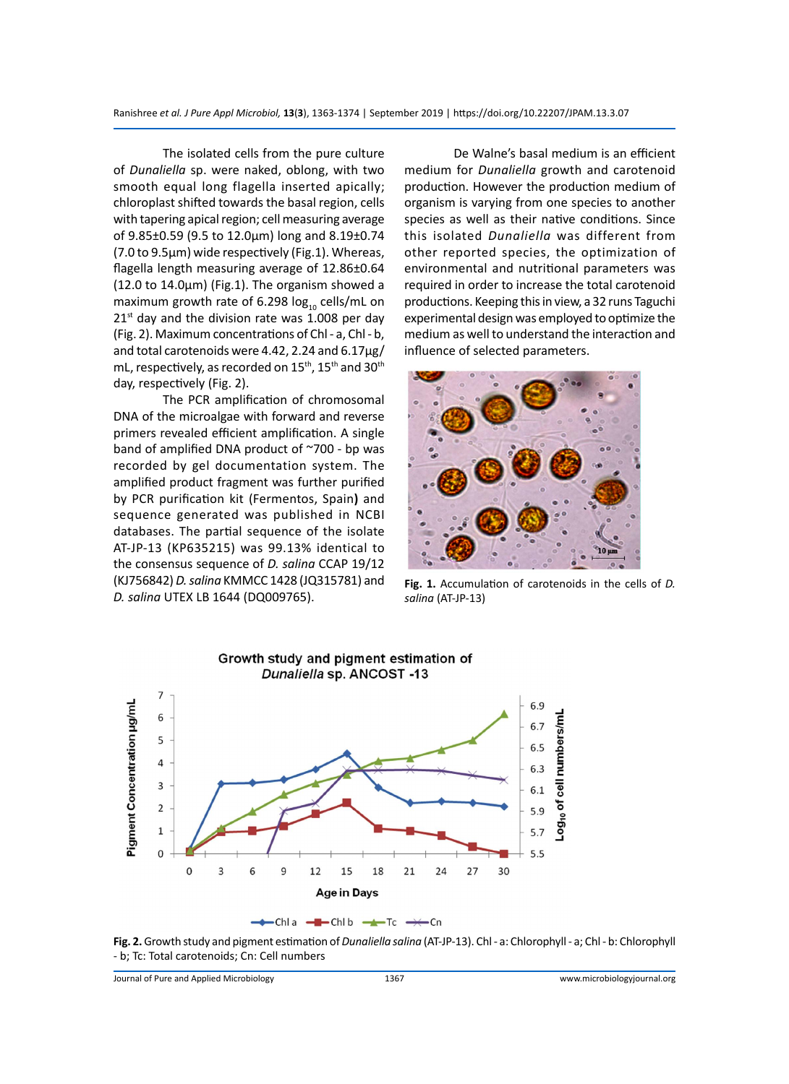The isolated cells from the pure culture of *Dunaliella* sp. were naked, oblong, with two smooth equal long flagella inserted apically; chloroplast shifted towards the basal region, cells with tapering apical region; cell measuring average of 9.85±0.59 (9.5 to 12.0µm) long and 8.19±0.74 (7.0 to 9.5µm) wide respectively (Fig.1). Whereas, flagella length measuring average of 12.86±0.64 (12.0 to 14.0µm) (Fig.1). The organism showed a maximum growth rate of 6.298  $log_{10}$  cells/mL on  $21<sup>st</sup>$  day and the division rate was 1.008 per day (Fig. 2). Maximum concentrations of Chl - a, Chl - b, and total carotenoids were 4.42, 2.24 and 6.17µg/ mL, respectively, as recorded on 15<sup>th</sup>, 15<sup>th</sup> and 30<sup>th</sup> day, respectively (Fig. 2).

The PCR amplification of chromosomal DNA of the microalgae with forward and reverse primers revealed efficient amplification. A single band of amplified DNA product of ~700 - bp was recorded by gel documentation system. The amplified product fragment was further purified by PCR purification kit (Fermentos, Spain**)** and sequence generated was published in NCBI databases. The partial sequence of the isolate AT-JP-13 (KP635215) was 99.13% identical to the consensus sequence of *D. salina* CCAP 19/12 (KJ756842) *D. salina* KMMCC 1428 (JQ315781) and *D. salina* UTEX LB 1644 (DQ009765).

De Walne's basal medium is an efficient medium for *Dunaliella* growth and carotenoid production. However the production medium of organism is varying from one species to another species as well as their native conditions. Since this isolated *Dunaliella* was different from other reported species, the optimization of environmental and nutritional parameters was required in order to increase the total carotenoid productions. Keeping this in view, a 32 runs Taguchi experimental design was employed to optimize the medium as well to understand the interaction and influence of selected parameters.



**Fig. 1.** Accumulation of carotenoids in the cells of *D. salina* (AT-JP-13)



**Fig. 2.** Growth study and pigment estimation of *Dunaliella salina* (AT-JP-13). Chl - a: Chlorophyll - a; Chl - b: Chlorophyll - b; Tc: Total carotenoids; Cn: Cell numbers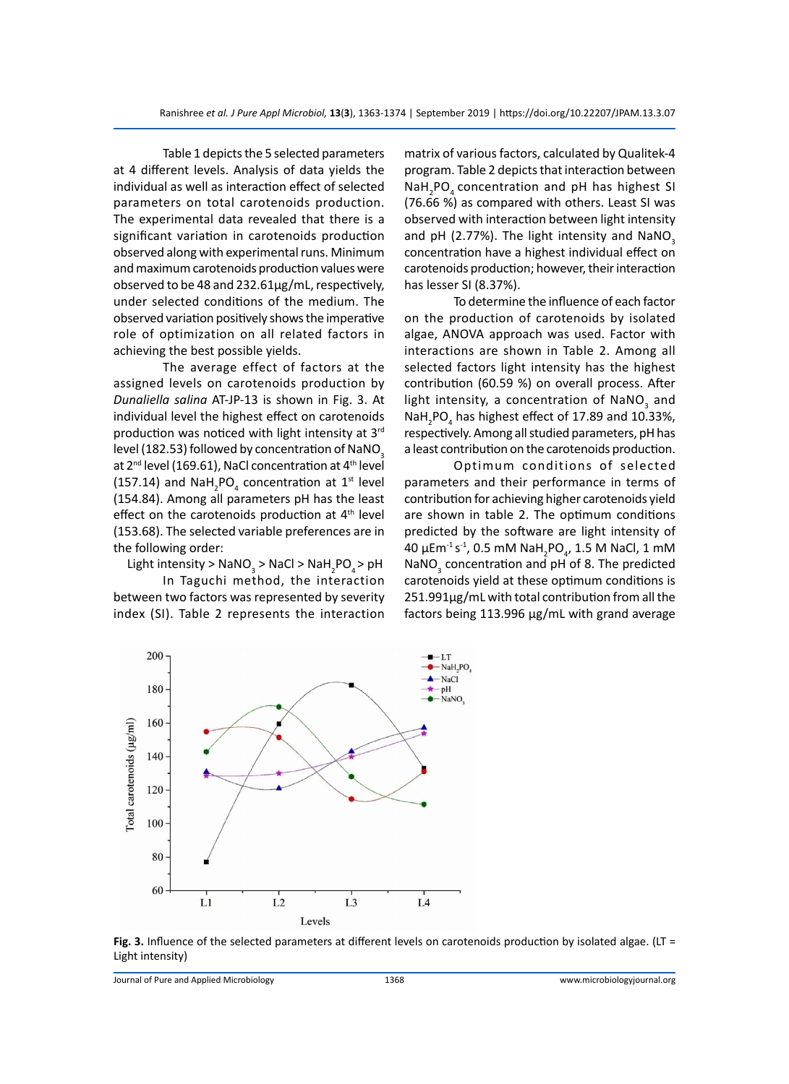Table 1 depicts the 5 selected parameters at 4 different levels. Analysis of data yields the individual as well as interaction effect of selected parameters on total carotenoids production. The experimental data revealed that there is a significant variation in carotenoids production observed along with experimental runs. Minimum and maximum carotenoids production values were observed to be 48 and 232.61µg/mL, respectively, under selected conditions of the medium. The observed variation positively shows the imperative role of optimization on all related factors in achieving the best possible yields.

The average effect of factors at the assigned levels on carotenoids production by *Dunaliella salina* AT-JP-13 is shown in Fig. 3. At individual level the highest effect on carotenoids production was noticed with light intensity at 3rd level (182.53) followed by concentration of NaNO<sub>3</sub> at 2<sup>nd</sup> level (169.61), NaCl concentration at 4<sup>th</sup> level (157.14) and  $\text{NaH}_2\text{PO}_4$  concentration at 1<sup>st</sup> level (154.84). Among all parameters pH has the least effect on the carotenoids production at 4<sup>th</sup> level (153.68). The selected variable preferences are in the following order:

Light intensity >  $\textsf{NaNO}_{3}$  > NaCl > NaH<sub>2</sub>PO<sub>4</sub> > pH

In Taguchi method, the interaction between two factors was represented by severity index (SI). Table 2 represents the interaction matrix of various factors, calculated by Qualitek-4 program. Table 2 depicts that interaction between NaH<sub>2</sub>PO<sub>4</sub> concentration and pH has highest SI (76.66 %) as compared with others. Least SI was observed with interaction between light intensity and pH (2.77%). The light intensity and NaNO<sub>3</sub> concentration have a highest individual effect on carotenoids production; however, their interaction has lesser SI (8.37%).

To determine the influence of each factor on the production of carotenoids by isolated algae, ANOVA approach was used. Factor with interactions are shown in Table 2. Among all selected factors light intensity has the highest contribution (60.59 %) on overall process. After light intensity, a concentration of NaNO<sub>3</sub> and  $\textsf{NaH}_{2}$ PO<sub>4</sub> has highest effect of 17.89 and 10.33%, respectively. Among all studied parameters, pH has a least contribution on the carotenoids production.

Optimum conditions of selected parameters and their performance in terms of contribution for achieving higher carotenoids yield are shown in table 2. The optimum conditions predicted by the software are light intensity of 40 μEm $^{\text{-1}}$ s $^{\text{-1}}$ , 0.5 mM NaH $_{\text{2}}$ PO $_{\text{4}}$ , 1.5 M NaCl, 1 mM  $\textsf{NaNO}_3$  concentration and pH of 8. The predicted carotenoids yield at these optimum conditions is 251.991µg/mL with total contribution from all the factors being 113.996 µg/mL with grand average



Fig. 3. Influence of the selected parameters at different levels on carotenoids production by isolated algae. (LT = Light intensity)

Journal of Pure and Applied Microbiology 1368 www.microbiologyjournal.org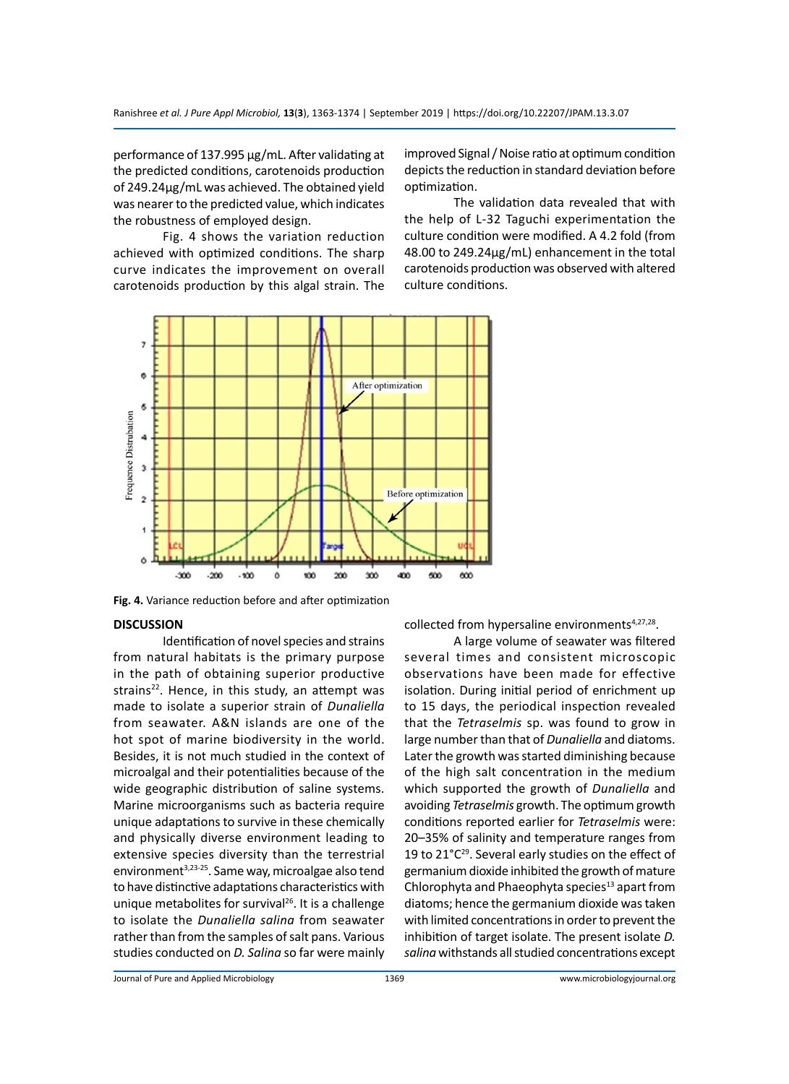performance of 137.995 µg/mL. After validating at the predicted conditions, carotenoids production of 249.24µg/mL was achieved. The obtained yield was nearer to the predicted value, which indicates the robustness of employed design.

Fig. 4 shows the variation reduction achieved with optimized conditions. The sharp curve indicates the improvement on overall carotenoids production by this algal strain. The improved Signal / Noise ratio at optimum condition depicts the reduction in standard deviation before optimization.

The validation data revealed that with the help of L-32 Taguchi experimentation the culture condition were modified. A 4.2 fold (from 48.00 to 249.24µg/mL) enhancement in the total carotenoids production was observed with altered culture conditions.



**Fig. 4.** Variance reduction before and after optimization

#### **DISCUSSION**

Identification of novel species and strains from natural habitats is the primary purpose in the path of obtaining superior productive strains<sup>22</sup>. Hence, in this study, an attempt was made to isolate a superior strain of *Dunaliella*  from seawater. A&N islands are one of the hot spot of marine biodiversity in the world. Besides, it is not much studied in the context of microalgal and their potentialities because of the wide geographic distribution of saline systems. Marine microorganisms such as bacteria require unique adaptations to survive in these chemically and physically diverse environment leading to extensive species diversity than the terrestrial environment<sup>3,23-25</sup>. Same way, microalgae also tend to have distinctive adaptations characteristics with unique metabolites for survival<sup>26</sup>. It is a challenge to isolate the *Dunaliella salina* from seawater rather than from the samples of salt pans. Various studies conducted on *D. Salina* so far were mainly

collected from hypersaline environments<sup>4,27,28</sup>.

A large volume of seawater was filtered several times and consistent microscopic observations have been made for effective isolation. During initial period of enrichment up to 15 days, the periodical inspection revealed that the *Tetraselmis* sp. was found to grow in large number than that of *Dunaliella* and diatoms. Later the growth was started diminishing because of the high salt concentration in the medium which supported the growth of *Dunaliella* and avoiding *Tetraselmis* growth. The optimum growth conditions reported earlier for *Tetraselmis* were: 20–35% of salinity and temperature ranges from 19 to 21°C<sup>29</sup>. Several early studies on the effect of germanium dioxide inhibited the growth of mature Chlorophyta and Phaeophyta species<sup>13</sup> apart from diatoms; hence the germanium dioxide was taken with limited concentrations in order to prevent the inhibition of target isolate. The present isolate *D. salina* withstands all studied concentrations except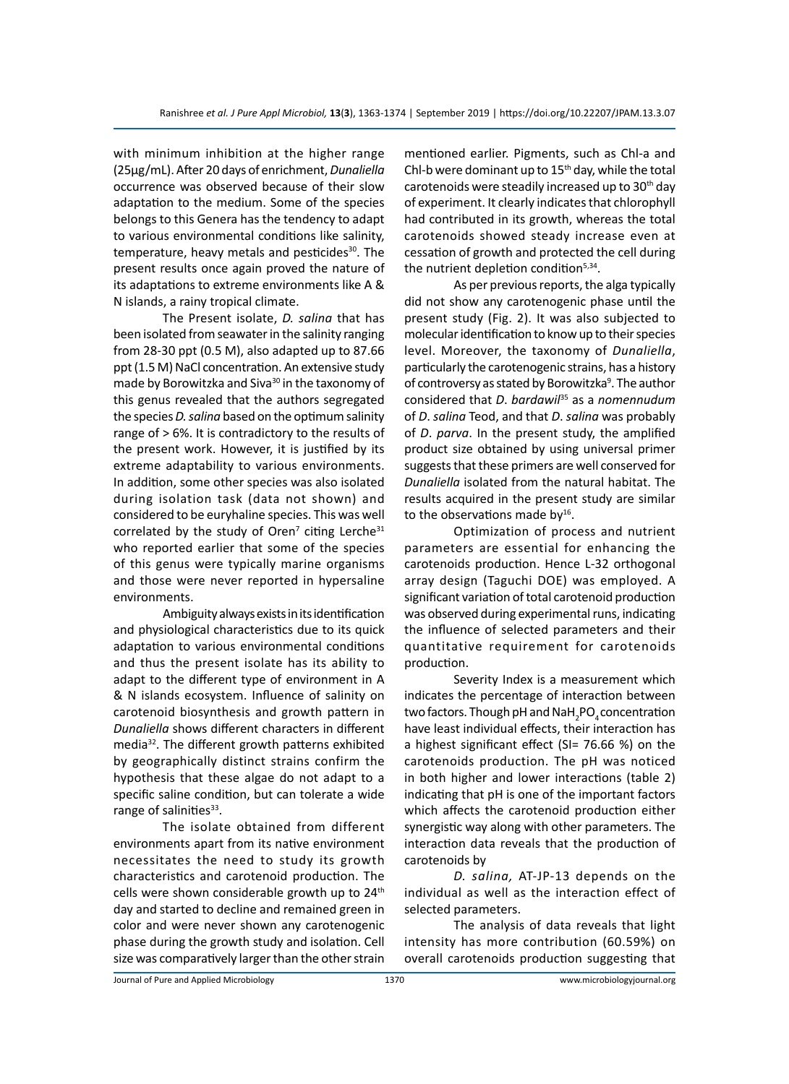with minimum inhibition at the higher range (25µg/mL). After 20 days of enrichment, *Dunaliella*  occurrence was observed because of their slow adaptation to the medium. Some of the species belongs to this Genera has the tendency to adapt to various environmental conditions like salinity, temperature, heavy metals and pesticides $30$ . The present results once again proved the nature of its adaptations to extreme environments like A & N islands, a rainy tropical climate.

The Present isolate, *D. salina* that has been isolated from seawater in the salinity ranging from 28-30 ppt (0.5 M), also adapted up to 87.66 ppt (1.5 M) NaCl concentration. An extensive study made by Borowitzka and Siva<sup>30</sup> in the taxonomy of this genus revealed that the authors segregated the species *D. salina* based on the optimum salinity range of > 6%. It is contradictory to the results of the present work. However, it is justified by its extreme adaptability to various environments. In addition, some other species was also isolated during isolation task (data not shown) and considered to be euryhaline species. This was well correlated by the study of Oren<sup>7</sup> citing Lerche<sup>31</sup> who reported earlier that some of the species of this genus were typically marine organisms and those were never reported in hypersaline environments.

Ambiguity always exists in its identification and physiological characteristics due to its quick adaptation to various environmental conditions and thus the present isolate has its ability to adapt to the different type of environment in A & N islands ecosystem. Influence of salinity on carotenoid biosynthesis and growth pattern in *Dunaliella* shows different characters in different media32. The different growth patterns exhibited by geographically distinct strains confirm the hypothesis that these algae do not adapt to a specific saline condition, but can tolerate a wide range of salinities<sup>33</sup>.

The isolate obtained from different environments apart from its native environment necessitates the need to study its growth characteristics and carotenoid production. The cells were shown considerable growth up to 24<sup>th</sup> day and started to decline and remained green in color and were never shown any carotenogenic phase during the growth study and isolation. Cell size was comparatively larger than the other strain mentioned earlier. Pigments, such as Chl-a and Chl-b were dominant up to  $15<sup>th</sup>$  day, while the total carotenoids were steadily increased up to 30<sup>th</sup> day of experiment. It clearly indicates that chlorophyll had contributed in its growth, whereas the total carotenoids showed steady increase even at cessation of growth and protected the cell during the nutrient depletion condition<sup>5,34</sup>.

As per previous reports, the alga typically did not show any carotenogenic phase until the present study (Fig. 2). It was also subjected to molecular identification to know up to their species level. Moreover, the taxonomy of *Dunaliella*, particularly the carotenogenic strains, has a history of controversy as stated by Borowitzka<sup>9</sup>. The author considered that *D*. *bardawil*<sup>35</sup> as a *nomennudum*  of *D*. *salina* Teod, and that *D*. *salina* was probably of *D*. *parva*. In the present study, the amplified product size obtained by using universal primer suggests that these primers are well conserved for *Dunaliella* isolated from the natural habitat. The results acquired in the present study are similar to the observations made by $16$ .

Optimization of process and nutrient parameters are essential for enhancing the carotenoids production. Hence L-32 orthogonal array design (Taguchi DOE) was employed. A significant variation of total carotenoid production was observed during experimental runs, indicating the influence of selected parameters and their quantitative requirement for carotenoids production.

Severity Index is a measurement which indicates the percentage of interaction between two factors. Though pH and NaH $_{\rm 2}$ PO $_{\rm 4}$ concentration have least individual effects, their interaction has a highest significant effect (SI= 76.66 %) on the carotenoids production. The pH was noticed in both higher and lower interactions (table 2) indicating that pH is one of the important factors which affects the carotenoid production either synergistic way along with other parameters. The interaction data reveals that the production of carotenoids by

*D. salina,* AT-JP-13 depends on the individual as well as the interaction effect of selected parameters.

The analysis of data reveals that light intensity has more contribution (60.59%) on overall carotenoids production suggesting that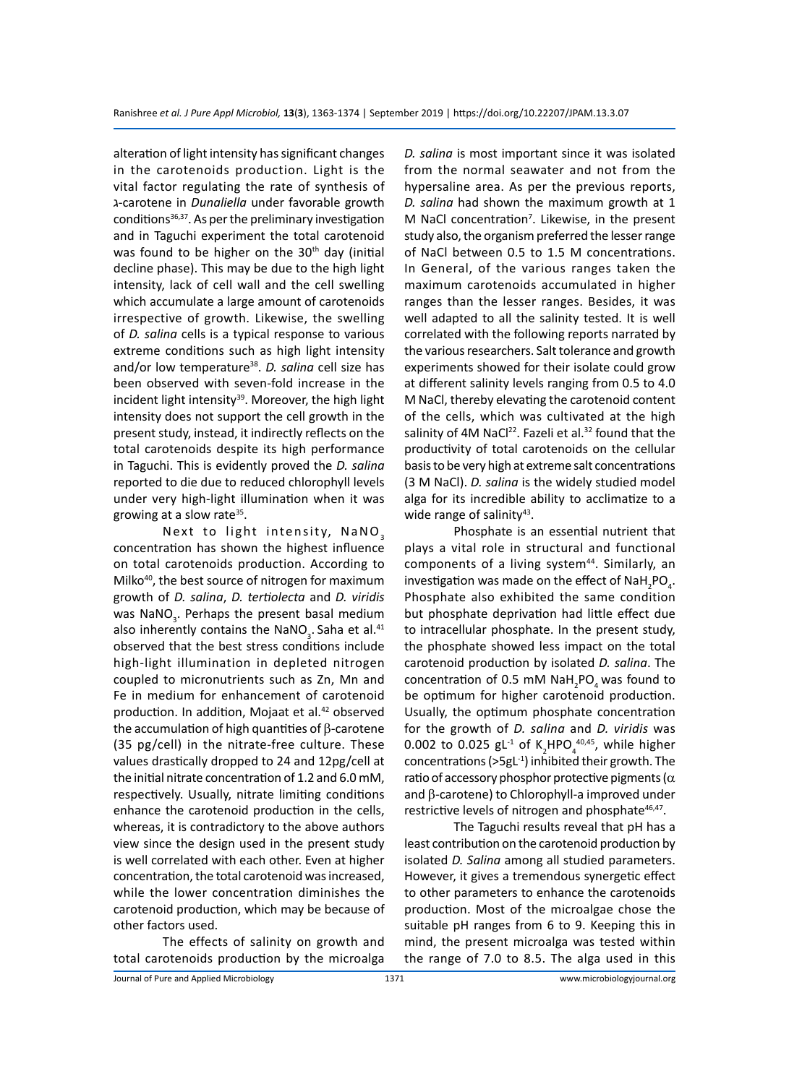alteration of light intensity has significant changes in the carotenoids production. Light is the vital factor regulating the rate of synthesis of ג-carotene in *Dunaliella* under favorable growth conditions $36,37$ . As per the preliminary investigation and in Taguchi experiment the total carotenoid was found to be higher on the  $30<sup>th</sup>$  day (initial decline phase). This may be due to the high light intensity, lack of cell wall and the cell swelling which accumulate a large amount of carotenoids irrespective of growth. Likewise, the swelling of *D. salina* cells is a typical response to various extreme conditions such as high light intensity and/or low temperature<sup>38</sup>. *D. salina* cell size has been observed with seven-fold increase in the incident light intensity<sup>39</sup>. Moreover, the high light intensity does not support the cell growth in the present study, instead, it indirectly reflects on the total carotenoids despite its high performance in Taguchi. This is evidently proved the *D. salina* reported to die due to reduced chlorophyll levels under very high-light illumination when it was growing at a slow rate $35$ .

Next to light intensity,  $NaNO<sub>3</sub>$ concentration has shown the highest influence on total carotenoids production. According to Milko<sup>40</sup>, the best source of nitrogen for maximum growth of *D. salina*, *D. tertiolecta* and *D. viridis* was NaNO<sub>3</sub>. Perhaps the present basal medium also inherently contains the NaNO<sub>3</sub>. Saha et al.<sup>41</sup> observed that the best stress conditions include high-light illumination in depleted nitrogen coupled to micronutrients such as Zn, Mn and Fe in medium for enhancement of carotenoid production. In addition, Mojaat et al.<sup>42</sup> observed the accumulation of high quantities of β-carotene (35 pg/cell) in the nitrate-free culture. These values drastically dropped to 24 and 12pg/cell at the initial nitrate concentration of 1.2 and 6.0 mM, respectively. Usually, nitrate limiting conditions enhance the carotenoid production in the cells, whereas, it is contradictory to the above authors view since the design used in the present study is well correlated with each other. Even at higher concentration, the total carotenoid was increased, while the lower concentration diminishes the carotenoid production, which may be because of other factors used.

The effects of salinity on growth and total carotenoids production by the microalga *D. salina* is most important since it was isolated from the normal seawater and not from the hypersaline area. As per the previous reports, *D. salina* had shown the maximum growth at 1 M NaCl concentration<sup>7</sup>. Likewise, in the present study also, the organism preferred the lesser range of NaCl between 0.5 to 1.5 M concentrations. In General, of the various ranges taken the maximum carotenoids accumulated in higher ranges than the lesser ranges. Besides, it was well adapted to all the salinity tested. It is well correlated with the following reports narrated by the various researchers. Salt tolerance and growth experiments showed for their isolate could grow at different salinity levels ranging from 0.5 to 4.0 M NaCl, thereby elevating the carotenoid content of the cells, which was cultivated at the high salinity of 4M NaCl<sup>22</sup>. Fazeli et al.<sup>32</sup> found that the productivity of total carotenoids on the cellular basis to be very high at extreme salt concentrations (3 M NaCl). *D. salina* is the widely studied model alga for its incredible ability to acclimatize to a wide range of salinity $43$ .

Phosphate is an essential nutrient that plays a vital role in structural and functional components of a living system<sup>44</sup>. Similarly, an investigation was made on the effect of NaH<sub>2</sub>PO<sub>4</sub>. Phosphate also exhibited the same condition but phosphate deprivation had little effect due to intracellular phosphate. In the present study, the phosphate showed less impact on the total carotenoid production by isolated *D. salina*. The concentration of 0.5 mM  $\textsf{NaH}_{\textsf{2}}\textsf{PO}_{\textsf{4}}$  was found to be optimum for higher carotenoid production. Usually, the optimum phosphate concentration for the growth of *D. salina* and *D. viridis* was 0.002 to 0.025  $gL^{-1}$  of K<sub>2</sub>HPO<sub>4</sub><sup>40,45</sup>, while higher concentrations (>5gL-1) inhibited their growth. The ratio of accessory phosphor protective pigments ( $\alpha$ and β-carotene) to Chlorophyll-a improved under restrictive levels of nitrogen and phosphate<sup>46,47</sup>.

The Taguchi results reveal that pH has a least contribution on the carotenoid production by isolated *D. Salina* among all studied parameters. However, it gives a tremendous synergetic effect to other parameters to enhance the carotenoids production. Most of the microalgae chose the suitable pH ranges from 6 to 9. Keeping this in mind, the present microalga was tested within the range of 7.0 to 8.5. The alga used in this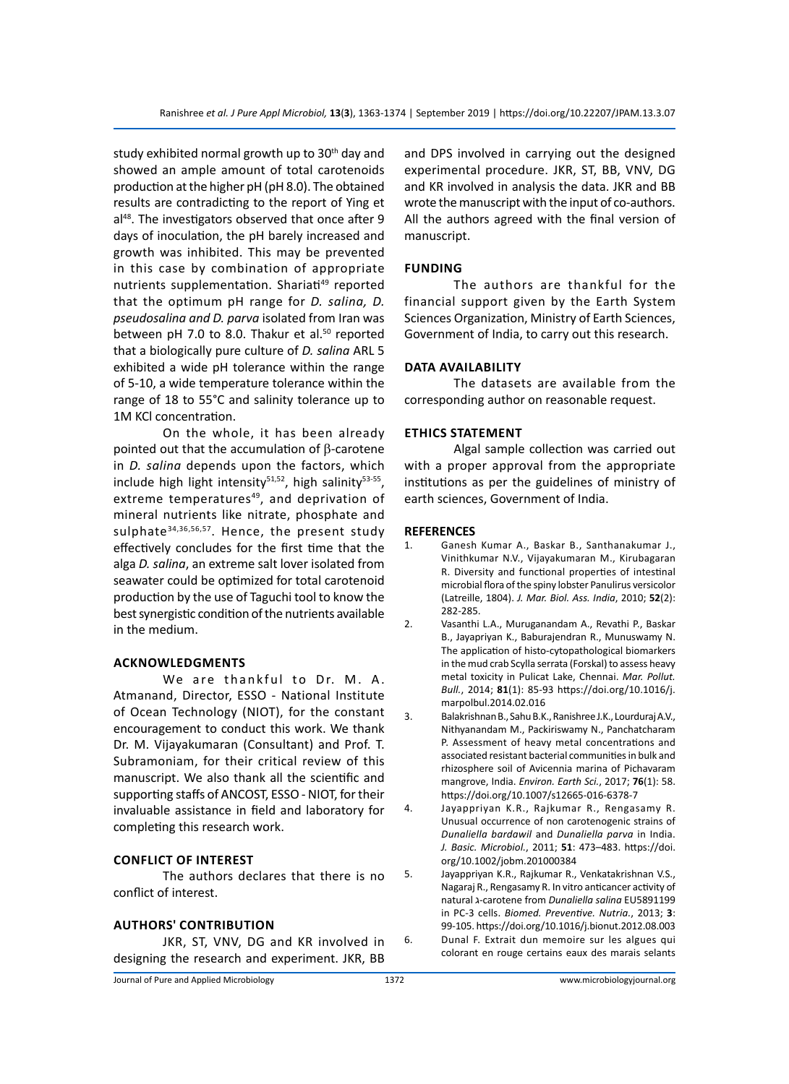study exhibited normal growth up to 30<sup>th</sup> day and showed an ample amount of total carotenoids production at the higher pH (pH 8.0). The obtained results are contradicting to the report of Ying et al<sup>48</sup>. The investigators observed that once after 9 days of inoculation, the pH barely increased and growth was inhibited. This may be prevented in this case by combination of appropriate nutrients supplementation. Shariati<sup>49</sup> reported that the optimum pH range for *D. salina, D. pseudosalina and D. parva* isolated from Iran was between pH 7.0 to 8.0. Thakur et al. $50$  reported that a biologically pure culture of *D. salina* ARL 5 exhibited a wide pH tolerance within the range of 5-10, a wide temperature tolerance within the range of 18 to 55°C and salinity tolerance up to 1M KCl concentration.

On the whole, it has been already pointed out that the accumulation of  $β$ -carotene in *D. salina* depends upon the factors, which include high light intensity $51,52$ , high salinity $53-55$ , extreme temperatures<sup>49</sup>, and deprivation of mineral nutrients like nitrate, phosphate and sulphate<sup>34,36,56,57</sup>. Hence, the present study effectively concludes for the first time that the alga *D. salina*, an extreme salt lover isolated from seawater could be optimized for total carotenoid production by the use of Taguchi tool to know the best synergistic condition of the nutrients available in the medium.

#### **Acknowledgments**

We are thankful to Dr. M. A. Atmanand, Director, ESSO - National Institute of Ocean Technology (NIOT), for the constant encouragement to conduct this work. We thank Dr. M. Vijayakumaran (Consultant) and Prof. T. Subramoniam, for their critical review of this manuscript. We also thank all the scientific and supporting staffs of ANCOST, ESSO - NIOT, for their invaluable assistance in field and laboratory for completing this research work.

#### **Conflict of Interest**

The authors declares that there is no conflict of interest.

#### **Authors' Contribution**

JKR, ST, VNV, DG and KR involved in designing the research and experiment. JKR, BB

and DPS involved in carrying out the designed experimental procedure. JKR, ST, BB, VNV, DG and KR involved in analysis the data. JKR and BB wrote the manuscript with the input of co-authors. All the authors agreed with the final version of manuscript.

#### **Funding**

The authors are thankful for the financial support given by the Earth System Sciences Organization, Ministry of Earth Sciences, Government of India, to carry out this research.

#### **Data Availability**

The datasets are available from the corresponding author on reasonable request.

#### **Ethics Statement**

Algal sample collection was carried out with a proper approval from the appropriate institutions as per the guidelines of ministry of earth sciences, Government of India.

#### **REFERENCES**

- 1. Ganesh Kumar A., Baskar B., Santhanakumar J., Vinithkumar N.V., Vijayakumaran M., Kirubagaran R. Diversity and functional properties of intestinal microbial flora of the spiny lobster Panulirus versicolor (Latreille, 1804). *J. Mar. Biol. Ass. India*, 2010; **52**(2): 282-285.
- 2. Vasanthi L.A., Muruganandam A., Revathi P., Baskar B., Jayapriyan K., Baburajendran R., Munuswamy N. The application of histo-cytopathological biomarkers in the mud crab Scylla serrata (Forskal) to assess heavy metal toxicity in Pulicat Lake, Chennai. *Mar. Pollut. Bull.*, 2014; **81**(1): 85-93 https://doi.org/10.1016/j. marpolbul.2014.02.016
- 3. Balakrishnan B., Sahu B.K., Ranishree J.K., Lourduraj A.V., Nithyanandam M., Packiriswamy N., Panchatcharam P. Assessment of heavy metal concentrations and associated resistant bacterial communities in bulk and rhizosphere soil of Avicennia marina of Pichavaram mangrove, India. *Environ. Earth Sci.*, 2017; **76**(1): 58. https://doi.org/10.1007/s12665-016-6378-7
- 4. Jayappriyan K.R., Rajkumar R., Rengasamy R. Unusual occurrence of non carotenogenic strains of *Dunaliella bardawil* and *Dunaliella parva* in India. *J. Basic. Microbiol.*, 2011; **51**: 473–483. https://doi. org/10.1002/jobm.201000384
- 5. Jayappriyan K.R., Rajkumar R., Venkatakrishnan V.S., Nagaraj R., Rengasamy R. In vitro anticancer activity of natural ג-carotene from *Dunaliella salina* EU5891199 in PC-3 cells. *Biomed. Preventive. Nutria.*, 2013; **3**: 99-105. https://doi.org/10.1016/j.bionut.2012.08.003 6. Dunal F. Extrait dun memoire sur les algues qui colorant en rouge certains eaux des marais selants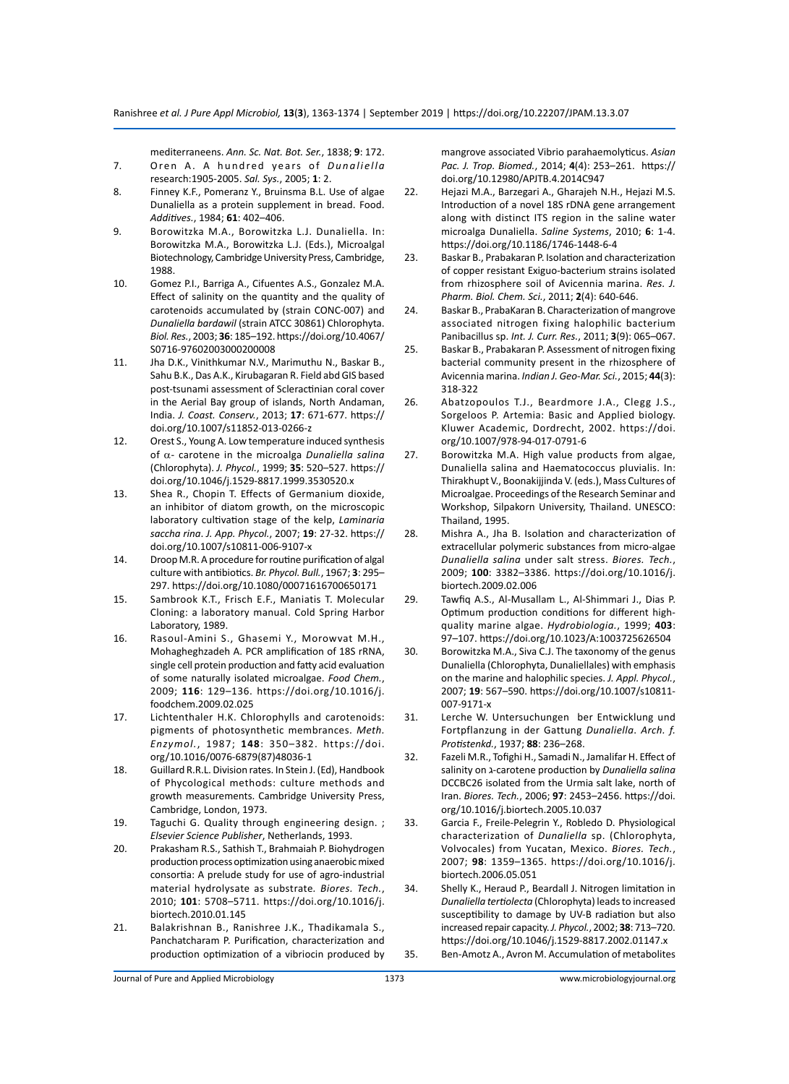mediterraneens. *Ann. Sc. Nat. Bot. Ser.*, 1838; **9**: 172.

- 7. Oren A. A hundred years of *Dunaliella* research:1905-2005. *Sal. Sys.*, 2005; **1**: 2.
- 8. Finney K.F., Pomeranz Y., Bruinsma B.L. Use of algae Dunaliella as a protein supplement in bread. Food. *Additives.*, 1984; **61**: 402–406.
- 9. Borowitzka M.A., Borowitzka L.J. Dunaliella. In: Borowitzka M.A., Borowitzka L.J. (Eds.), Microalgal Biotechnology, Cambridge University Press, Cambridge, 1988.
- 10. Gomez P.I., Barriga A., Cifuentes A.S., Gonzalez M.A. Effect of salinity on the quantity and the quality of carotenoids accumulated by (strain CONC-007) and *Dunaliella bardawil* (strain ATCC 30861) Chlorophyta. *Biol. Res.*, 2003; **36**: 185–192. https://doi.org/10.4067/ S0716-97602003000200008
- 11. Jha D.K., Vinithkumar N.V., Marimuthu N., Baskar B., Sahu B.K., Das A.K., Kirubagaran R. Field abd GIS based post-tsunami assessment of Scleractinian coral cover in the Aerial Bay group of islands, North Andaman, India. *J. Coast. Conserv.*, 2013; **17**: 671-677. https:// doi.org/10.1007/s11852-013-0266-z
- 12. Orest S., Young A. Low temperature induced synthesis of α- carotene in the microalga *Dunaliella salina* (Chlorophyta). *J. Phycol.*, 1999; **35**: 520–527. https:// doi.org/10.1046/j.1529-8817.1999.3530520.x
- 13. Shea R., Chopin T. Effects of Germanium dioxide, an inhibitor of diatom growth, on the microscopic laboratory cultivation stage of the kelp, *Laminaria saccha rina*. *J. App. Phycol.*, 2007; **19**: 27-32. https:// doi.org/10.1007/s10811-006-9107-x
- 14. Droop M.R. A procedure for routine purification of algal culture with antibiotics. *Br. Phycol. Bull.*, 1967; **3**: 295– 297. https://doi.org/10.1080/00071616700650171
- 15. Sambrook K.T., Frisch E.F., Maniatis T. Molecular Cloning: a laboratory manual. Cold Spring Harbor Laboratory, 1989.
- 16. Rasoul-Amini S., Ghasemi Y., Morowvat M.H., Mohagheghzadeh A. PCR amplification of 18S rRNA, single cell protein production and fatty acid evaluation of some naturally isolated microalgae. *Food Chem.*, 2009; **116**: 129–136. https://doi.org/10.1016/j. foodchem.2009.02.025
- 17. Lichtenthaler H.K. Chlorophylls and carotenoids: pigments of photosynthetic membrances. *Meth. Enzymol.*, 1987; **148**: 350–382. https://doi. org/10.1016/0076-6879(87)48036-1
- 18. Guillard R.R.L. Division rates. In Stein J. (Ed), Handbook of Phycological methods: culture methods and growth measurements. Cambridge University Press, Cambridge, London, 1973.
- 19. Taguchi G. Quality through engineering design. ; *Elsevier Science Publisher*, Netherlands, 1993.
- 20. Prakasham R.S., Sathish T., Brahmaiah P. Biohydrogen production process optimization using anaerobic mixed consortia: A prelude study for use of agro-industrial material hydrolysate as substrate*. Biores. Tech.*, 2010; **101**: 5708–5711. https://doi.org/10.1016/j. biortech.2010.01.145
- 21. Balakrishnan B., Ranishree J.K., Thadikamala S., Panchatcharam P. Purification, characterization and production optimization of a vibriocin produced by

mangrove associated Vibrio parahaemolyticus. *Asian Pac. J. Trop. Biomed.*, 2014; **4**(4): 253–261. https:// doi.org/10.12980/APJTB.4.2014C947

- 22. Hejazi M.A., Barzegari A., Gharajeh N.H., Hejazi M.S. Introduction of a novel 18S rDNA gene arrangement along with distinct ITS region in the saline water microalga Dunaliella. *Saline Systems*, 2010; **6**: 1-4. https://doi.org/10.1186/1746-1448-6-4
- 23. Baskar B., Prabakaran P. Isolation and characterization of copper resistant Exiguo-bacterium strains isolated from rhizosphere soil of Avicennia marina. *Res. J. Pharm. Biol. Chem. Sci.*, 2011; **2**(4): 640-646.
- 24. Baskar B., PrabaKaran B. Characterization of mangrove associated nitrogen fixing halophilic bacterium Panibacillus sp. *Int. J. Curr. Res.*, 2011; **3**(9): 065–067.
- 25. Baskar B., Prabakaran P. Assessment of nitrogen fixing bacterial community present in the rhizosphere of Avicennia marina. *Indian J. Geo-Mar. Sci.*, 2015; **44**(3): 318-322
- 26. Abatzopoulos T.J., Beardmore J.A., Clegg J.S., Sorgeloos P. Artemia: Basic and Applied biology. Kluwer Academic, Dordrecht, 2002. https://doi. org/10.1007/978-94-017-0791-6
- 27. Borowitzka M.A. High value products from algae, Dunaliella salina and Haematococcus pluvialis. In: Thirakhupt V., Boonakijjinda V. (eds.), Mass Cultures of Microalgae. Proceedings of the Research Seminar and Workshop, Silpakorn University, Thailand. UNESCO: Thailand, 1995.
- 28. Mishra A., Jha B. Isolation and characterization of extracellular polymeric substances from micro-algae *Dunaliella salina* under salt stress. *Biores. Tech.*, 2009; **100**: 3382–3386. https://doi.org/10.1016/j. biortech.2009.02.006
- 29. Tawfiq A.S., Al-Musallam L., Al-Shimmari J., Dias P. Optimum production conditions for different highquality marine algae. *Hydrobiologia.*, 1999; **403**: 97–107. https://doi.org/10.1023/A:1003725626504
- 30. Borowitzka M.A., Siva C.J. The taxonomy of the genus Dunaliella (Chlorophyta, Dunaliellales) with emphasis on the marine and halophilic species. *J. Appl. Phycol.*, 2007; **19**: 567–590. https://doi.org/10.1007/s10811- 007-9171-x
- 31. Lerche W. Untersuchungen ber Entwicklung und Fortpflanzung in der Gattung *Dunaliella*. *Arch. f. Protistenkd.*, 1937; **88**: 236–268.
- 32. Fazeli M.R., Tofighi H., Samadi N., Jamalifar H. Effect of salinity on ג-carotene production by *Dunaliella salina* DCCBC26 isolated from the Urmia salt lake, north of Iran. *Biores. Tech.*, 2006; **97**: 2453–2456. https://doi. org/10.1016/j.biortech.2005.10.037
- 33. Garcia F., Freile-Pelegrin Y., Robledo D. Physiological characterization of *Dunaliella* sp. (Chlorophyta, Volvocales) from Yucatan, Mexico. *Biores. Tech.*, 2007; **98**: 1359–1365. https://doi.org/10.1016/j. biortech.2006.05.051
- 34. Shelly K., Heraud P., Beardall J. Nitrogen limitation in *Dunaliella tertiolecta* (Chlorophyta) leads to increased susceptibility to damage by UV-B radiation but also increased repair capacity. *J. Phycol.*, 2002; **38**: 713–720. https://doi.org/10.1046/j.1529-8817.2002.01147.x 35. Ben-Amotz A., Avron M. Accumulation of metabolites